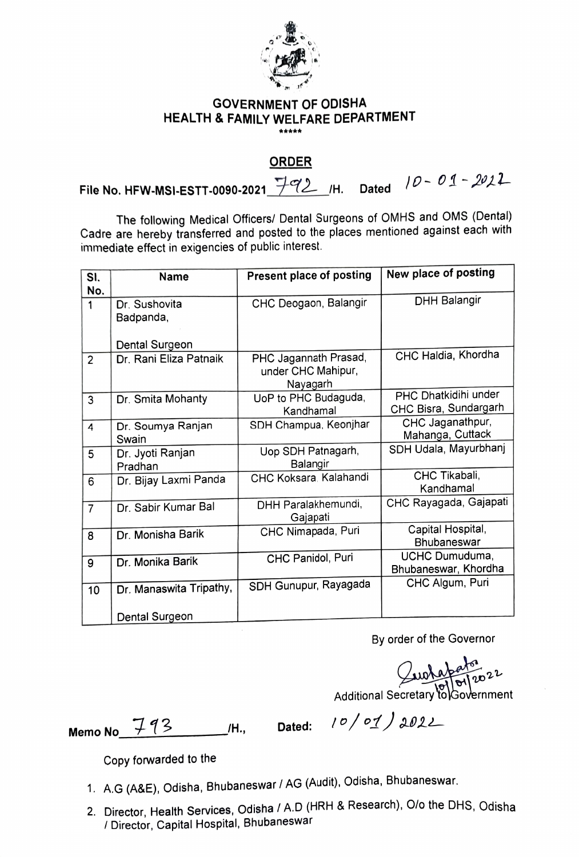

## GOVERNMENT OF ODISHA HEALTH & FAMILY WELFARE DEPARTMENT \*\*\*\*\*

## ORDER

File No. HFW-MSI-ESTT-0090-2021  $792$  /H. Dated  $10 - 01 - 2021$ 

The following Medical Officers/ Dental Surgeons of OMHS and OMS (Dental) Cadre are hereby transferred and posted to the places mentioned against each with immediate effect in exigencies of public interest.

| SI.<br>No.     | <b>Name</b>                 | <b>Present place of posting</b>                         | New place of posting                          |
|----------------|-----------------------------|---------------------------------------------------------|-----------------------------------------------|
| 1              | Dr. Sushovita<br>Badpanda,  | CHC Deogaon, Balangir                                   | <b>DHH Balangir</b>                           |
|                | Dental Surgeon              |                                                         |                                               |
| $\overline{2}$ | Dr. Rani Eliza Patnaik      | PHC Jagannath Prasad,<br>under CHC Mahipur,<br>Nayagarh | CHC Haldia, Khordha                           |
| 3              | Dr. Smita Mohanty           | UoP to PHC Budaguda,<br>Kandhamal                       | PHC Dhatkidihi under<br>CHC Bisra, Sundargarh |
| 4              | Dr. Soumya Ranjan<br>Swain  | SDH Champua, Keonjhar                                   | CHC Jaganathpur,<br>Mahanga, Cuttack          |
| 5              | Dr. Jyoti Ranjan<br>Pradhan | Uop SDH Patnagarh,<br>Balangir                          | SDH Udala, Mayurbhanj                         |
| 6              | Dr. Bijay Laxmi Panda       | CHC Koksara, Kalahandi                                  | CHC Tikabali,<br>Kandhamal                    |
| $\overline{7}$ | Dr. Sabir Kumar Bal         | DHH Paralakhemundi,<br>Gajapati                         | CHC Rayagada, Gajapati                        |
| 8              | Dr. Monisha Barik           | CHC Nimapada, Puri                                      | Capital Hospital,<br><b>Bhubaneswar</b>       |
| 9              | Dr. Monika Barik            | CHC Panidol, Puri                                       | UCHC Dumuduma,<br>Bhubaneswar, Khordha        |
| 10             | Dr. Manaswita Tripathy,     | SDH Gunupur, Rayagada                                   | CHC Algum, Puri                               |
|                | Dental Surgeon              |                                                         |                                               |

By order of the Governor

 $Quotap<sub>atro</sub> 22$ 

Additional Secretary to Government

Memo No  $793$  H., Dated:  $10/01/2022$ 

Copy forwarded to the

- 1. A.G (A&E), Odisha, Bhubaneswar / AG (Audit), Odisha, Bhubaneswar
- 2. Director, Health Services, Odisha / A.D (HRH & Research), O/o the DHS, Odisha Director, Capital Hospital, Bhubaneswar